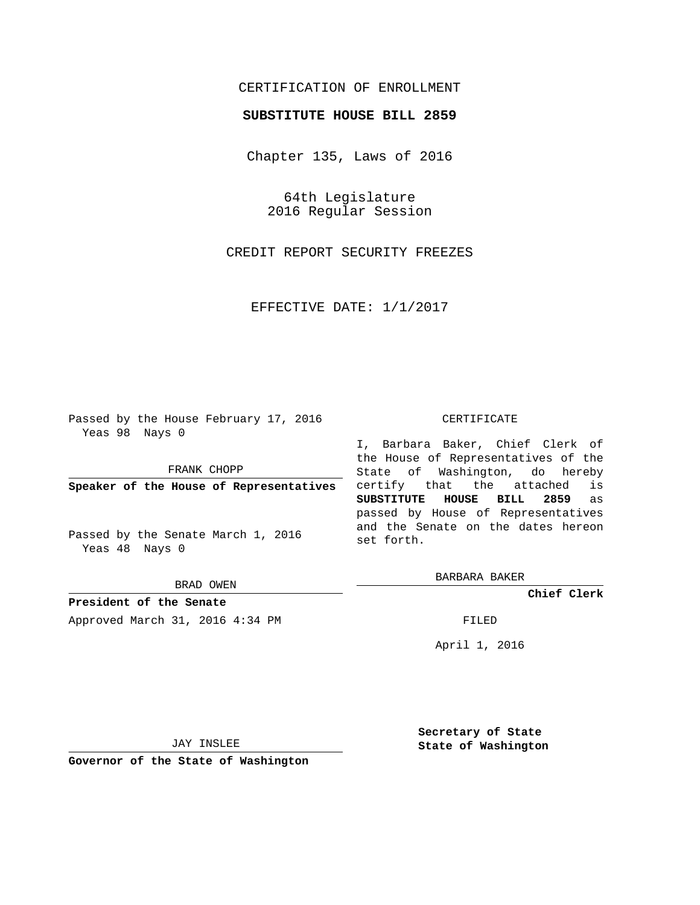## CERTIFICATION OF ENROLLMENT

## **SUBSTITUTE HOUSE BILL 2859**

Chapter 135, Laws of 2016

64th Legislature 2016 Regular Session

CREDIT REPORT SECURITY FREEZES

EFFECTIVE DATE: 1/1/2017

Passed by the House February 17, 2016 Yeas 98 Nays 0

FRANK CHOPP

**Speaker of the House of Representatives**

Passed by the Senate March 1, 2016 Yeas 48 Nays 0

BRAD OWEN

**President of the Senate** Approved March 31, 2016 4:34 PM FILED

## CERTIFICATE

I, Barbara Baker, Chief Clerk of the House of Representatives of the State of Washington, do hereby certify that the attached is **SUBSTITUTE HOUSE BILL 2859** as passed by House of Representatives and the Senate on the dates hereon set forth.

BARBARA BAKER

**Chief Clerk**

April 1, 2016

JAY INSLEE

**Governor of the State of Washington**

**Secretary of State State of Washington**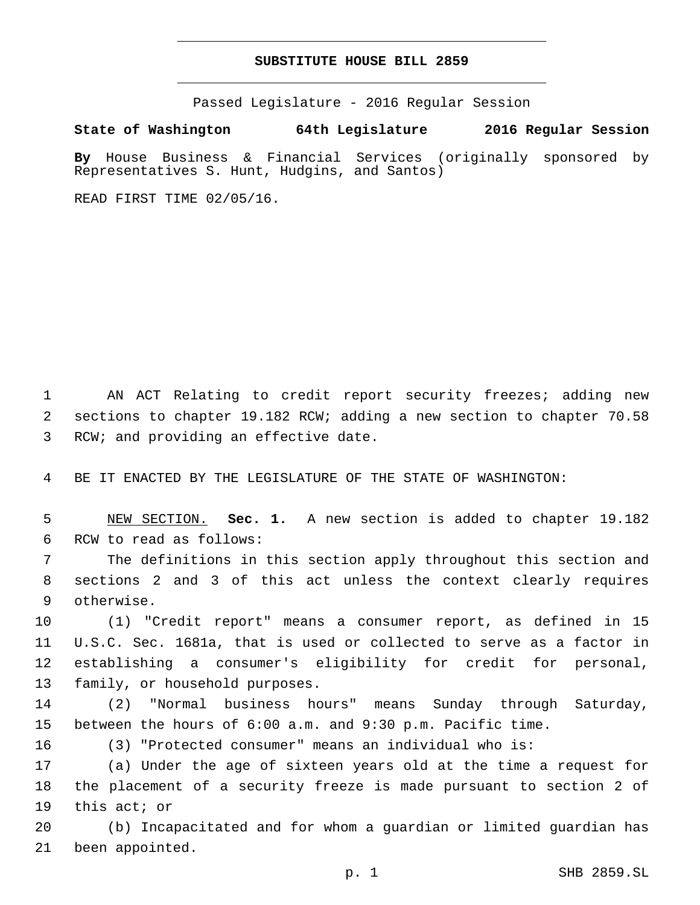## **SUBSTITUTE HOUSE BILL 2859**

Passed Legislature - 2016 Regular Session

**State of Washington 64th Legislature 2016 Regular Session**

**By** House Business & Financial Services (originally sponsored by Representatives S. Hunt, Hudgins, and Santos)

READ FIRST TIME 02/05/16.

1 AN ACT Relating to credit report security freezes; adding new 2 sections to chapter 19.182 RCW; adding a new section to chapter 70.58 3 RCW; and providing an effective date.

4 BE IT ENACTED BY THE LEGISLATURE OF THE STATE OF WASHINGTON:

5 NEW SECTION. **Sec. 1.** A new section is added to chapter 19.182 6 RCW to read as follows:

7 The definitions in this section apply throughout this section and 8 sections 2 and 3 of this act unless the context clearly requires 9 otherwise.

 (1) "Credit report" means a consumer report, as defined in 15 U.S.C. Sec. 1681a, that is used or collected to serve as a factor in establishing a consumer's eligibility for credit for personal, 13 family, or household purposes.

14 (2) "Normal business hours" means Sunday through Saturday, 15 between the hours of 6:00 a.m. and 9:30 p.m. Pacific time.

16 (3) "Protected consumer" means an individual who is:

17 (a) Under the age of sixteen years old at the time a request for 18 the placement of a security freeze is made pursuant to section 2 of 19 this act; or

20 (b) Incapacitated and for whom a guardian or limited guardian has 21 been appointed.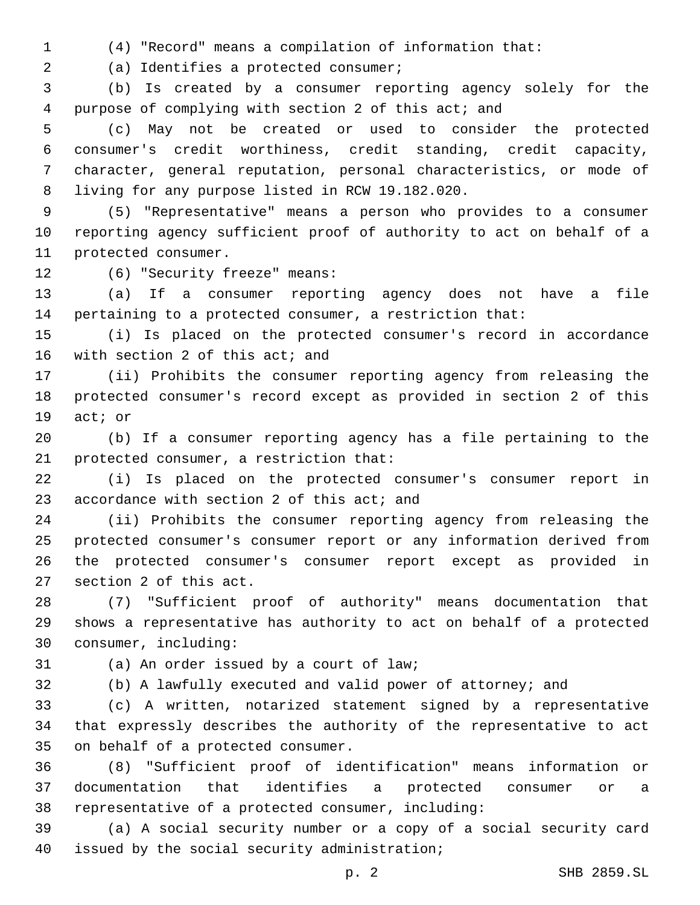(4) "Record" means a compilation of information that:

(a) Identifies a protected consumer;2

 (b) Is created by a consumer reporting agency solely for the purpose of complying with section 2 of this act; and

 (c) May not be created or used to consider the protected consumer's credit worthiness, credit standing, credit capacity, character, general reputation, personal characteristics, or mode of 8 living for any purpose listed in RCW 19.182.020.

 (5) "Representative" means a person who provides to a consumer reporting agency sufficient proof of authority to act on behalf of a 11 protected consumer.

12 (6) "Security freeze" means:

 (a) If a consumer reporting agency does not have a file pertaining to a protected consumer, a restriction that:

 (i) Is placed on the protected consumer's record in accordance 16 with section 2 of this act; and

 (ii) Prohibits the consumer reporting agency from releasing the protected consumer's record except as provided in section 2 of this 19 act; or

 (b) If a consumer reporting agency has a file pertaining to the 21 protected consumer, a restriction that:

 (i) Is placed on the protected consumer's consumer report in 23 accordance with section 2 of this act; and

 (ii) Prohibits the consumer reporting agency from releasing the protected consumer's consumer report or any information derived from the protected consumer's consumer report except as provided in 27 section 2 of this act.

 (7) "Sufficient proof of authority" means documentation that shows a representative has authority to act on behalf of a protected consumer, including:30

31 (a) An order issued by a court of law;

(b) A lawfully executed and valid power of attorney; and

 (c) A written, notarized statement signed by a representative that expressly describes the authority of the representative to act 35 on behalf of a protected consumer.

 (8) "Sufficient proof of identification" means information or documentation that identifies a protected consumer or a representative of a protected consumer, including:

 (a) A social security number or a copy of a social security card 40 issued by the social security administration;

p. 2 SHB 2859.SL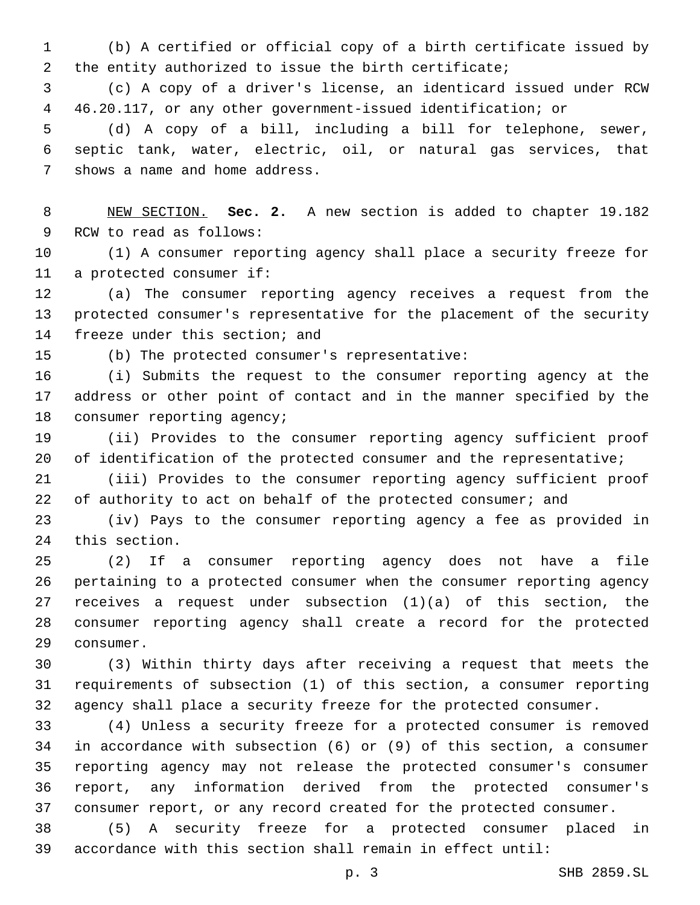(b) A certified or official copy of a birth certificate issued by 2 the entity authorized to issue the birth certificate;

 (c) A copy of a driver's license, an identicard issued under RCW 46.20.117, or any other government-issued identification; or

 (d) A copy of a bill, including a bill for telephone, sewer, septic tank, water, electric, oil, or natural gas services, that 7 shows a name and home address.

 NEW SECTION. **Sec. 2.** A new section is added to chapter 19.182 9 RCW to read as follows:

 (1) A consumer reporting agency shall place a security freeze for 11 a protected consumer if:

 (a) The consumer reporting agency receives a request from the protected consumer's representative for the placement of the security 14 freeze under this section; and

15 (b) The protected consumer's representative:

 (i) Submits the request to the consumer reporting agency at the address or other point of contact and in the manner specified by the 18 consumer reporting agency;

 (ii) Provides to the consumer reporting agency sufficient proof 20 of identification of the protected consumer and the representative;

 (iii) Provides to the consumer reporting agency sufficient proof 22 of authority to act on behalf of the protected consumer; and

 (iv) Pays to the consumer reporting agency a fee as provided in 24 this section.

 (2) If a consumer reporting agency does not have a file pertaining to a protected consumer when the consumer reporting agency receives a request under subsection (1)(a) of this section, the consumer reporting agency shall create a record for the protected 29 consumer.

 (3) Within thirty days after receiving a request that meets the requirements of subsection (1) of this section, a consumer reporting agency shall place a security freeze for the protected consumer.

 (4) Unless a security freeze for a protected consumer is removed in accordance with subsection (6) or (9) of this section, a consumer reporting agency may not release the protected consumer's consumer report, any information derived from the protected consumer's consumer report, or any record created for the protected consumer.

 (5) A security freeze for a protected consumer placed in accordance with this section shall remain in effect until: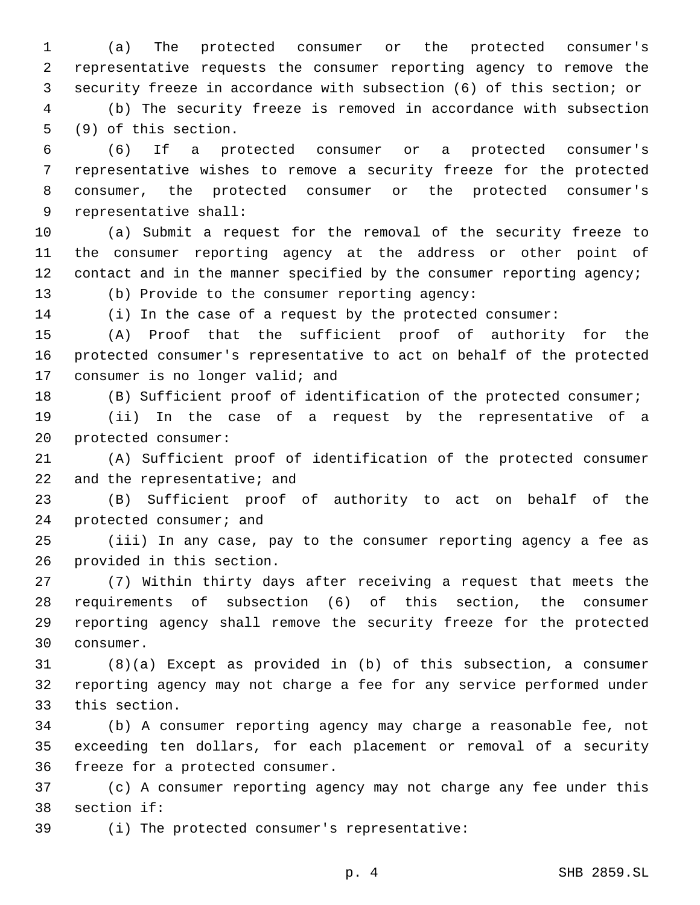(a) The protected consumer or the protected consumer's representative requests the consumer reporting agency to remove the security freeze in accordance with subsection (6) of this section; or (b) The security freeze is removed in accordance with subsection

5 (9) of this section.

 (6) If a protected consumer or a protected consumer's representative wishes to remove a security freeze for the protected consumer, the protected consumer or the protected consumer's 9 representative shall:

 (a) Submit a request for the removal of the security freeze to the consumer reporting agency at the address or other point of 12 contact and in the manner specified by the consumer reporting agency;

13 (b) Provide to the consumer reporting agency:

(i) In the case of a request by the protected consumer:

 (A) Proof that the sufficient proof of authority for the protected consumer's representative to act on behalf of the protected 17 consumer is no longer valid; and

(B) Sufficient proof of identification of the protected consumer;

 (ii) In the case of a request by the representative of a 20 protected consumer:

 (A) Sufficient proof of identification of the protected consumer 22 and the representative; and

 (B) Sufficient proof of authority to act on behalf of the 24 protected consumer; and

 (iii) In any case, pay to the consumer reporting agency a fee as 26 provided in this section.

 (7) Within thirty days after receiving a request that meets the requirements of subsection (6) of this section, the consumer reporting agency shall remove the security freeze for the protected 30 consumer.

 (8)(a) Except as provided in (b) of this subsection, a consumer reporting agency may not charge a fee for any service performed under 33 this section.

 (b) A consumer reporting agency may charge a reasonable fee, not exceeding ten dollars, for each placement or removal of a security 36 freeze for a protected consumer.

 (c) A consumer reporting agency may not charge any fee under this 38 section if:

39 (i) The protected consumer's representative:

p. 4 SHB 2859.SL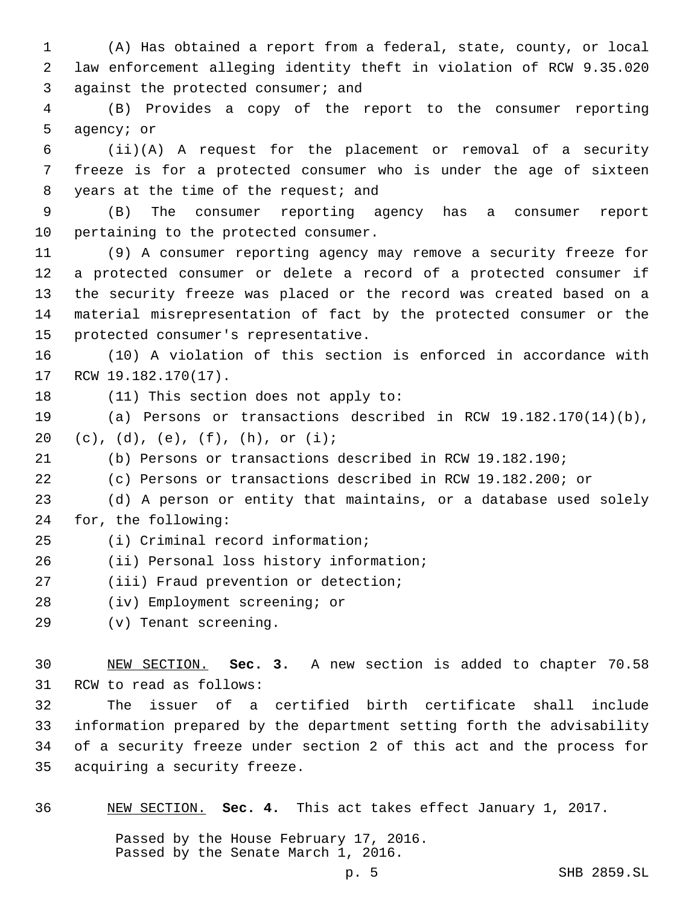1 (A) Has obtained a report from a federal, state, county, or local 2 law enforcement alleging identity theft in violation of RCW 9.35.020 3 against the protected consumer; and

4 (B) Provides a copy of the report to the consumer reporting 5 agency; or

6 (ii)(A) A request for the placement or removal of a security 7 freeze is for a protected consumer who is under the age of sixteen 8 years at the time of the request; and

9 (B) The consumer reporting agency has a consumer report 10 pertaining to the protected consumer.

 (9) A consumer reporting agency may remove a security freeze for a protected consumer or delete a record of a protected consumer if the security freeze was placed or the record was created based on a material misrepresentation of fact by the protected consumer or the 15 protected consumer's representative.

16 (10) A violation of this section is enforced in accordance with 17 RCW 19.182.170(17).

18 (11) This section does not apply to:

19 (a) Persons or transactions described in RCW 19.182.170(14)(b), 20 (c), (d), (e),  $(f)$ , (h), or  $(i)$ ;

21 (b) Persons or transactions described in RCW 19.182.190;

22 (c) Persons or transactions described in RCW 19.182.200; or

23 (d) A person or entity that maintains, or a database used solely 24 for, the following:

- (i) Criminal record information;25
- 26 (ii) Personal loss history information;
- 27 (iii) Fraud prevention or detection;
- 28 (iv) Employment screening; or
- (v) Tenant screening.29

30 NEW SECTION. **Sec. 3.** A new section is added to chapter 70.58 31 RCW to read as follows:

 The issuer of a certified birth certificate shall include information prepared by the department setting forth the advisability of a security freeze under section 2 of this act and the process for 35 acquiring a security freeze.

36 NEW SECTION. **Sec. 4.** This act takes effect January 1, 2017.

Passed by the House February 17, 2016. Passed by the Senate March 1, 2016.